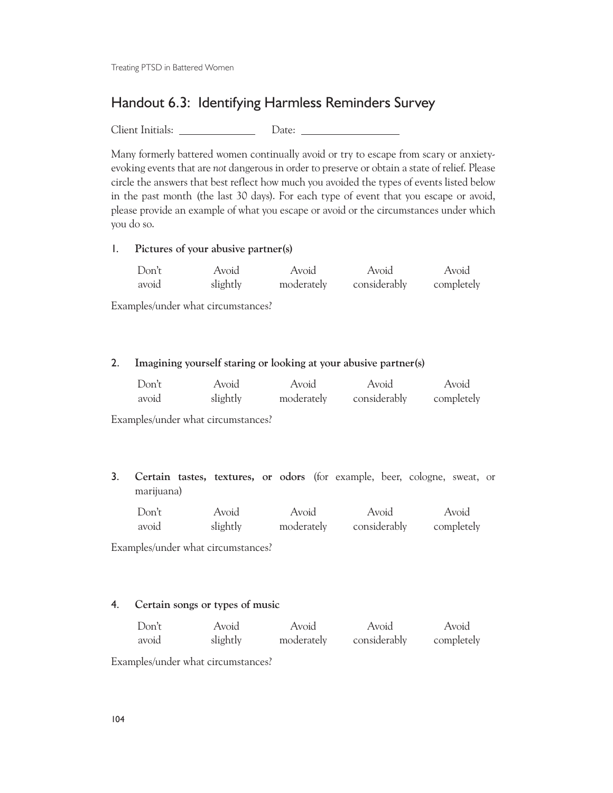Treating PTSD in Battered Women

# Handout 6.3: Identifying Harmless Reminders Survey

Client Initials: Date:

Many formerly battered women continually avoid or try to escape from scary or anxietyevoking events that are *not* dangerous in order to preserve or obtain a state of relief. Please circle the answers that best reflect how much you avoided the types of events listed below in the past month (the last 30 days). For each type of event that you escape or avoid, please provide an example of what you escape or avoid or the circumstances under which you do so.

#### 1. **Pictures of your abusive partner(s)**

| Don't | Avoid    | Avoid      | Avoid        | Avoid      |
|-------|----------|------------|--------------|------------|
| avoid | slightly | moderately | considerably | completely |

Examples/under what circumstances?

#### 2. **Imagining yourself staring or looking at your abusive partner(s)**

| Don't | Avoid    | Avoid      | Avoid        | Avoid      |
|-------|----------|------------|--------------|------------|
| avoid | slightly | moderately | considerably | completely |

Examples/under what circumstances?

3. **Certain tastes, textures, or odors** (for example, beer, cologne, sweat, or marijuana)

| Don't | Avoid    | Avoid      | Avoid        | Avoid      |
|-------|----------|------------|--------------|------------|
| avoid | slightly | moderately | considerably | completely |

Examples/under what circumstances?

#### 4. **Certain songs or types of music**

| Don't | Avoid    | Avoid      | Avoid        | Avoid      |
|-------|----------|------------|--------------|------------|
| avoid | slightly | moderately | considerably | completely |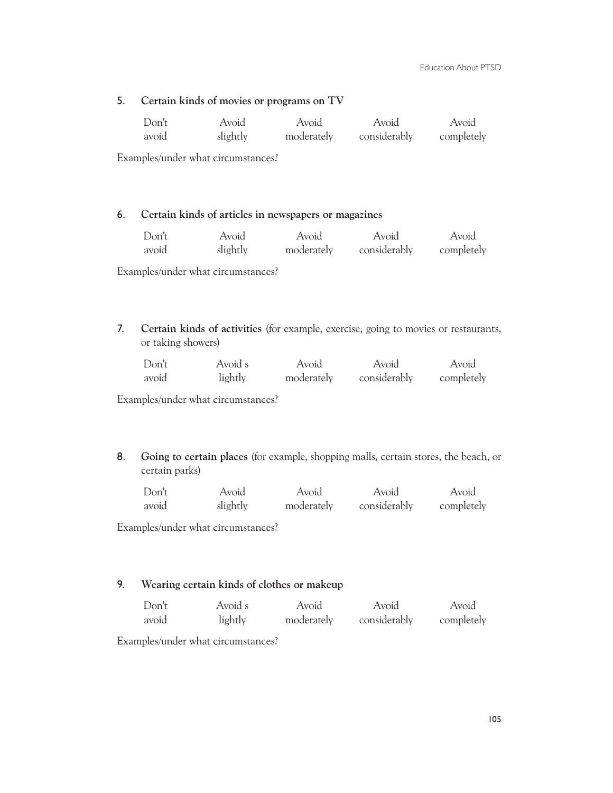## 5. **Certain kinds of movies or programs on TV**

| Don't | Avoid    | Avoid | Avoid                   | Avoid      |
|-------|----------|-------|-------------------------|------------|
| avoid | slightly |       | moderately considerably | completely |

Examples/under what circumstances?

#### 6. **Certain kinds of articles in newspapers or magazines**

| Don't | Avoid    | Avoid | Avoid                   | Avoid      |
|-------|----------|-------|-------------------------|------------|
| avoid | slightly |       | moderately considerably | completely |

Examples/under what circumstances?

7. **Certain kinds of activities** (for example, exercise, going to movies or restaurants, or taking showers)

| Don't | Avoid s | Avoid      | Avoid        | Avoid      |
|-------|---------|------------|--------------|------------|
| avoid | lightly | moderately | considerably | completely |

Examples/under what circumstances?

8. **Going to certain places** (for example, shopping malls, certain stores, the beach, or certain parks)

| Don't | Avoid    | Avoid      | Avoid        | Avoid      |
|-------|----------|------------|--------------|------------|
| avoid | slightly | moderately | considerably | completely |

Examples/under what circumstances?

### 9. **Wearing certain kinds of clothes or makeup**

| Don't | Avoid s | Avoid      | Avoid        | Avoid      |
|-------|---------|------------|--------------|------------|
| avoid | lightly | moderately | considerably | completely |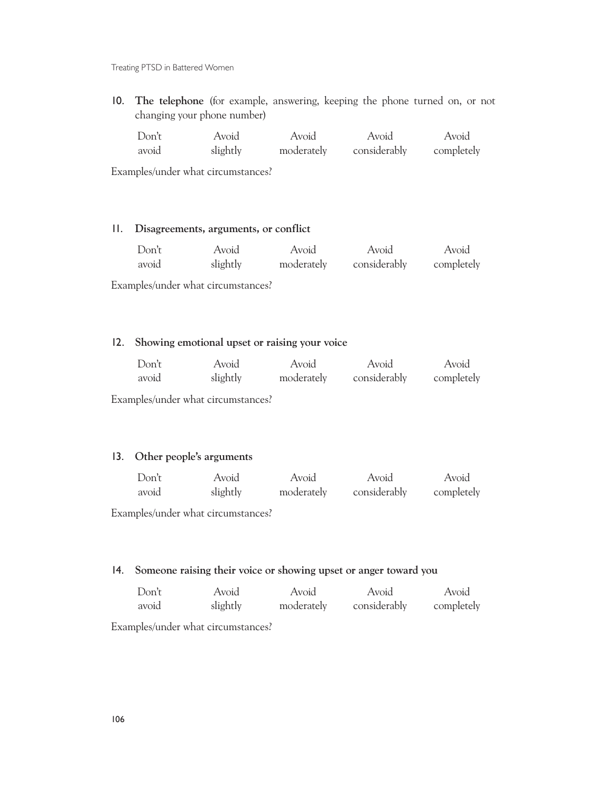Treating PTSD in Battered Women

10. **The telephone** (for example, answering, keeping the phone turned on, or not changing your phone number)

| Don't | Avoid    | Avoid      | Avoid        | Avoid      |
|-------|----------|------------|--------------|------------|
| avoid | slightly | moderately | considerably | completely |

Examples/under what circumstances?

## 11. **Disagreements, arguments, or conflict**

| Don't | Avoid    | Avoid | Avoid                   | Avoid      |
|-------|----------|-------|-------------------------|------------|
| avoid | slightly |       | moderately considerably | completely |

Examples/under what circumstances?

#### 12. **Showing emotional upset or raising your voice**

| Don't | Avoid    | Avoid      | Avoid        | Avoid      |
|-------|----------|------------|--------------|------------|
| avoid | slightly | moderately | considerably | completely |

Examples/under what circumstances?

### 13. **Other people's arguments**

| Don't | Avoid    | Avoid      | Avoid        | Avoid      |
|-------|----------|------------|--------------|------------|
| avoid | slightly | moderately | considerably | completely |

Examples/under what circumstances?

## 14. **Someone raising their voice or showing upset or anger toward you**

| Don't | Avoid    | Avoid      | Avoid        | Avoid      |
|-------|----------|------------|--------------|------------|
| avoid | slightly | moderately | considerably | completely |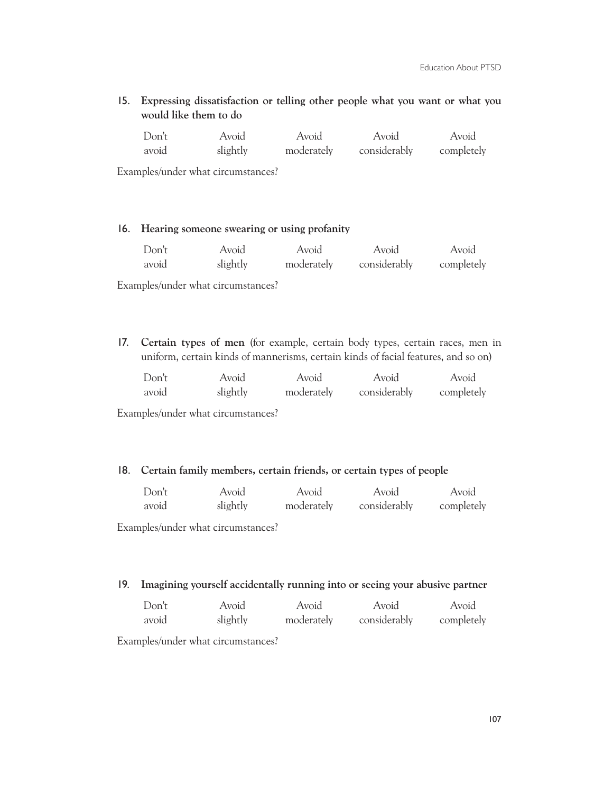15. **Expressing dissatisfaction or telling other people what you want or what you would like them to do**

| Don't | Avoid    | Avoid      | Avoid        | Avoid      |
|-------|----------|------------|--------------|------------|
| avoid | slightly | moderately | considerably | completely |

Examples/under what circumstances?

#### 16. **Hearing someone swearing or using profanity**

| Don't | Avoid    | Avoid      | Avoid        | Avoid      |
|-------|----------|------------|--------------|------------|
| avoid | slightly | moderately | considerably | completely |

Examples/under what circumstances?

17. **Certain types of men** (for example, certain body types, certain races, men in uniform, certain kinds of mannerisms, certain kinds of facial features, and so on)

| Don't | Avoid    | Avoid      | Avoid        | Avoid      |
|-------|----------|------------|--------------|------------|
| avoid | slightly | moderately | considerably | completely |

Examples/under what circumstances?

#### 18. **Certain family members, certain friends, or certain types of people**

| Don't | Avoid    | Avoid      | Avoid        | Avoid      |
|-------|----------|------------|--------------|------------|
| avoid | slightly | moderately | considerably | completely |

Examples/under what circumstances?

#### 19. **Imagining yourself accidentally running into or seeing your abusive partner**

| Don't | Avoid    | Avoid      | Avoid        | Avoid      |
|-------|----------|------------|--------------|------------|
| avoid | slightly | moderately | considerably | completely |